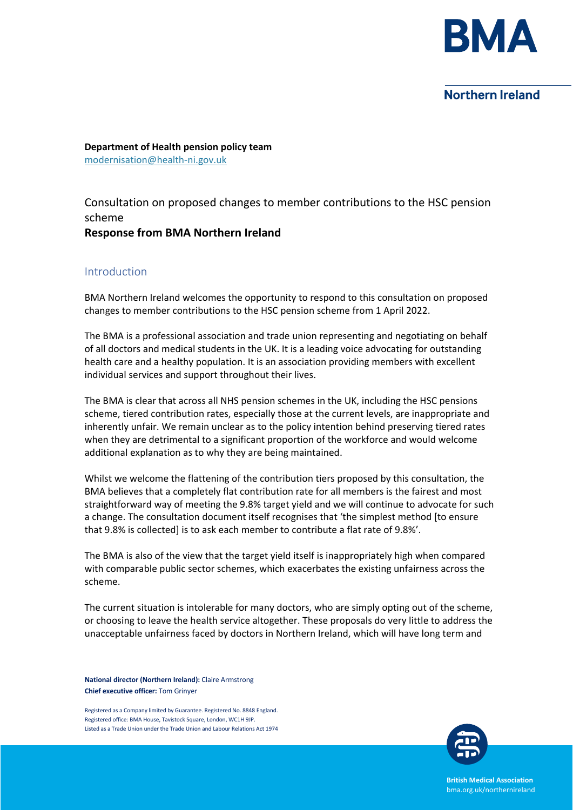

# Northern Ireland

**Department of Health pension policy team** modernisation@health-ni.gov.uk

Consultation on proposed changes to member contributions to the HSC pension scheme

**Response from BMA Northern Ireland**

## Introduction

BMA Northern Ireland welcomes the opportunity to respond to this consultation on proposed changes to member contributions to the HSC pension scheme from 1 April 2022.

The BMA is a professional association and trade union representing and negotiating on behalf of all doctors and medical students in the UK. It is a leading voice advocating for outstanding health care and a healthy population. It is an association providing members with excellent individual services and support throughout their lives.

The BMA is clear that across all NHS pension schemes in the UK, including the HSC pensions scheme, tiered contribution rates, especially those at the current levels, are inappropriate and inherently unfair. We remain unclear as to the policy intention behind preserving tiered rates when they are detrimental to a significant proportion of the workforce and would welcome additional explanation as to why they are being maintained.

Whilst we welcome the flattening of the contribution tiers proposed by this consultation, the BMA believes that a completely flat contribution rate for all members is the fairest and most straightforward way of meeting the 9.8% target yield and we will continue to advocate for such a change. The consultation document itself recognises that 'the simplest method [to ensure that 9.8% is collected] is to ask each member to contribute a flat rate of 9.8%'.

The BMA is also of the view that the target yield itself is inappropriately high when compared with comparable public sector schemes, which exacerbates the existing unfairness across the scheme.

The current situation is intolerable for many doctors, who are simply opting out of the scheme, or choosing to leave the health service altogether. These proposals do very little to address the unacceptable unfairness faced by doctors in Northern Ireland, which will have long term and

**National director (Northern Ireland):** Claire Armstrong **Chief executive officer:** Tom Grinyer

Registered as a Company limited by Guarantee. Registered No. 8848 England. Registered office: BMA House, Tavistock Square, London, WC1H 9JP. Listed as a Trade Union under the Trade Union and Labour Relations Act 1974



**British Medical Association** bma.org.uk/northernireland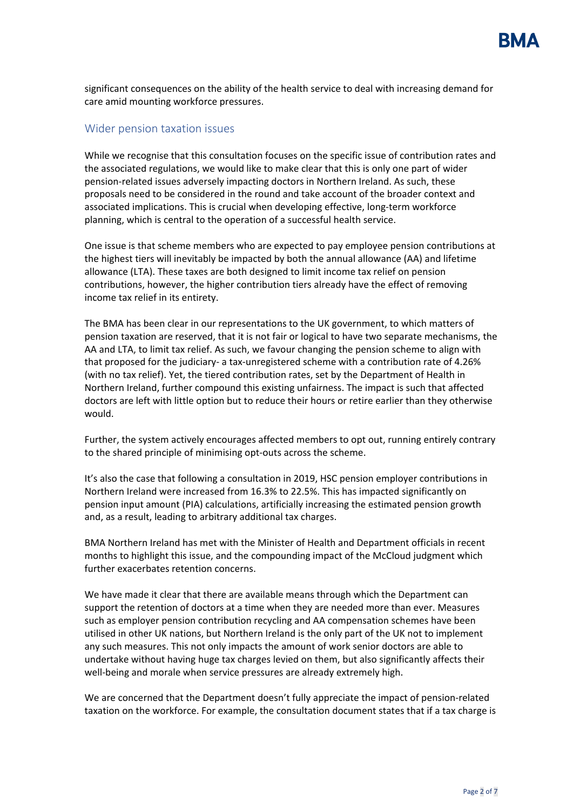significant consequences on the ability of the health service to deal with increasing demand for care amid mounting workforce pressures.

# Wider pension taxation issues

While we recognise that this consultation focuses on the specific issue of contribution rates and the associated regulations, we would like to make clear that this is only one part of wider pension-related issues adversely impacting doctors in Northern Ireland. As such, these proposals need to be considered in the round and take account of the broader context and associated implications. This is crucial when developing effective, long-term workforce planning, which is central to the operation of a successful health service.

One issue is that scheme members who are expected to pay employee pension contributions at the highest tiers will inevitably be impacted by both the annual allowance (AA) and lifetime allowance (LTA). These taxes are both designed to limit income tax relief on pension contributions, however, the higher contribution tiers already have the effect of removing income tax relief in its entirety.

The BMA has been clear in our representations to the UK government, to which matters of pension taxation are reserved, that it is not fair or logical to have two separate mechanisms, the AA and LTA, to limit tax relief. As such, we favour changing the pension scheme to align with that proposed for the judiciary- a tax-unregistered scheme with a contribution rate of 4.26% (with no tax relief). Yet, the tiered contribution rates, set by the Department of Health in Northern Ireland, further compound this existing unfairness. The impact is such that affected doctors are left with little option but to reduce their hours or retire earlier than they otherwise would.

Further, the system actively encourages affected members to opt out, running entirely contrary to the shared principle of minimising opt-outs across the scheme.

It's also the case that following a consultation in 2019, HSC pension employer contributions in Northern Ireland were increased from 16.3% to 22.5%. This has impacted significantly on pension input amount (PIA) calculations, artificially increasing the estimated pension growth and, as a result, leading to arbitrary additional tax charges.

BMA Northern Ireland has met with the Minister of Health and Department officials in recent months to highlight this issue, and the compounding impact of the McCloud judgment which further exacerbates retention concerns.

We have made it clear that there are available means through which the Department can support the retention of doctors at a time when they are needed more than ever. Measures such as employer pension contribution recycling and AA compensation schemes have been utilised in other UK nations, but Northern Ireland is the only part of the UK not to implement any such measures. This not only impacts the amount of work senior doctors are able to undertake without having huge tax charges levied on them, but also significantly affects their well-being and morale when service pressures are already extremely high.

We are concerned that the Department doesn't fully appreciate the impact of pension-related taxation on the workforce. For example, the consultation document states that if a tax charge is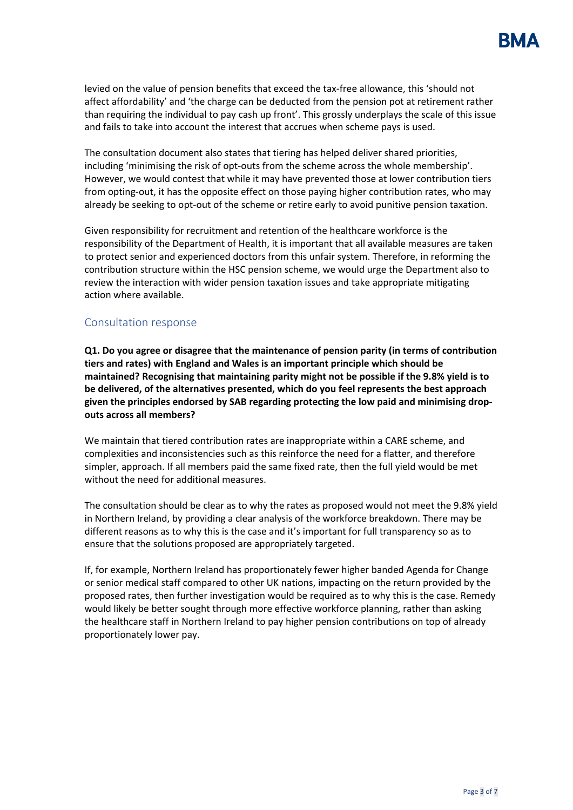

levied on the value of pension benefits that exceed the tax-free allowance, this 'should not affect affordability' and 'the charge can be deducted from the pension pot at retirement rather than requiring the individual to pay cash up front'. This grossly underplays the scale of this issue and fails to take into account the interest that accrues when scheme pays is used.

The consultation document also states that tiering has helped deliver shared priorities, including 'minimising the risk of opt-outs from the scheme across the whole membership'. However, we would contest that while it may have prevented those at lower contribution tiers from opting-out, it has the opposite effect on those paying higher contribution rates, who may already be seeking to opt-out of the scheme or retire early to avoid punitive pension taxation.

Given responsibility for recruitment and retention of the healthcare workforce is the responsibility of the Department of Health, it is important that all available measures are taken to protect senior and experienced doctors from this unfair system. Therefore, in reforming the contribution structure within the HSC pension scheme, we would urge the Department also to review the interaction with wider pension taxation issues and take appropriate mitigating action where available.

### Consultation response

**Q1. Do you agree or disagree that the maintenance of pension parity (in terms of contribution tiers and rates) with England and Wales is an important principle which should be maintained? Recognising that maintaining parity might not be possible if the 9.8% yield is to be delivered, of the alternatives presented, which do you feel represents the best approach given the principles endorsed by SAB regarding protecting the low paid and minimising dropouts across all members?** 

We maintain that tiered contribution rates are inappropriate within a CARE scheme, and complexities and inconsistencies such as this reinforce the need for a flatter, and therefore simpler, approach. If all members paid the same fixed rate, then the full yield would be met without the need for additional measures.

The consultation should be clear as to why the rates as proposed would not meet the 9.8% yield in Northern Ireland, by providing a clear analysis of the workforce breakdown. There may be different reasons as to why this is the case and it's important for full transparency so as to ensure that the solutions proposed are appropriately targeted.

If, for example, Northern Ireland has proportionately fewer higher banded Agenda for Change or senior medical staff compared to other UK nations, impacting on the return provided by the proposed rates, then further investigation would be required as to why this is the case. Remedy would likely be better sought through more effective workforce planning, rather than asking the healthcare staff in Northern Ireland to pay higher pension contributions on top of already proportionately lower pay.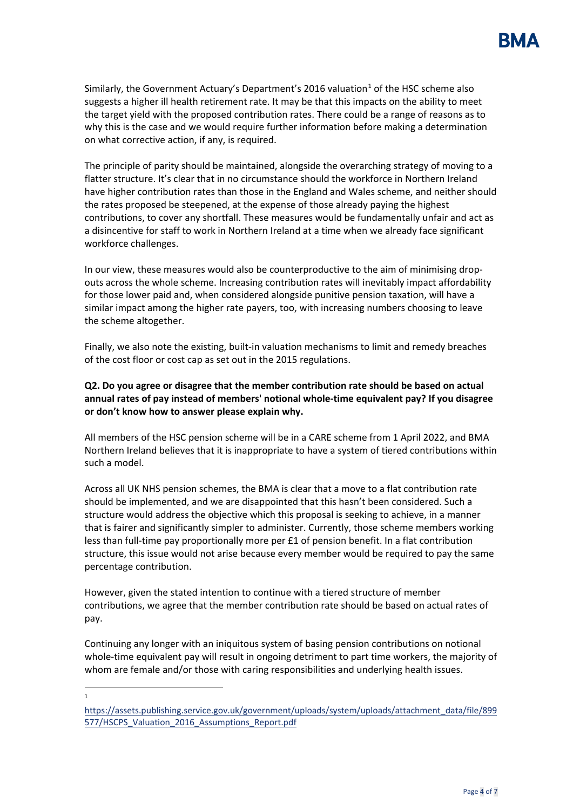Similarly, the Government Actuary's Department's 20[1](#page-3-0)6 valuation<sup>1</sup> of the HSC scheme also suggests a higher ill health retirement rate. It may be that this impacts on the ability to meet the target yield with the proposed contribution rates. There could be a range of reasons as to why this is the case and we would require further information before making a determination on what corrective action, if any, is required.

The principle of parity should be maintained, alongside the overarching strategy of moving to a flatter structure. It's clear that in no circumstance should the workforce in Northern Ireland have higher contribution rates than those in the England and Wales scheme, and neither should the rates proposed be steepened, at the expense of those already paying the highest contributions, to cover any shortfall. These measures would be fundamentally unfair and act as a disincentive for staff to work in Northern Ireland at a time when we already face significant workforce challenges.

In our view, these measures would also be counterproductive to the aim of minimising dropouts across the whole scheme. Increasing contribution rates will inevitably impact affordability for those lower paid and, when considered alongside punitive pension taxation, will have a similar impact among the higher rate payers, too, with increasing numbers choosing to leave the scheme altogether.

Finally, we also note the existing, built-in valuation mechanisms to limit and remedy breaches of the cost floor or cost cap as set out in the 2015 regulations.

# **Q2. Do you agree or disagree that the member contribution rate should be based on actual annual rates of pay instead of members' notional whole-time equivalent pay? If you disagree or don't know how to answer please explain why.**

All members of the HSC pension scheme will be in a CARE scheme from 1 April 2022, and BMA Northern Ireland believes that it is inappropriate to have a system of tiered contributions within such a model.

Across all UK NHS pension schemes, the BMA is clear that a move to a flat contribution rate should be implemented, and we are disappointed that this hasn't been considered. Such a structure would address the objective which this proposal is seeking to achieve, in a manner that is fairer and significantly simpler to administer. Currently, those scheme members working less than full-time pay proportionally more per £1 of pension benefit. In a flat contribution structure, this issue would not arise because every member would be required to pay the same percentage contribution.

However, given the stated intention to continue with a tiered structure of member contributions, we agree that the member contribution rate should be based on actual rates of pay.

Continuing any longer with an iniquitous system of basing pension contributions on notional whole-time equivalent pay will result in ongoing detriment to part time workers, the majority of whom are female and/or those with caring responsibilities and underlying health issues.

 $\overline{a}$ 1

<span id="page-3-0"></span>[https://assets.publishing.service.gov.uk/government/uploads/system/uploads/attachment\\_data/file/899](https://assets.publishing.service.gov.uk/government/uploads/system/uploads/attachment_data/file/899577/HSCPS_Valuation_2016_Assumptions_Report.pdf) 577/HSCPS Valuation 2016 Assumptions Report.pdf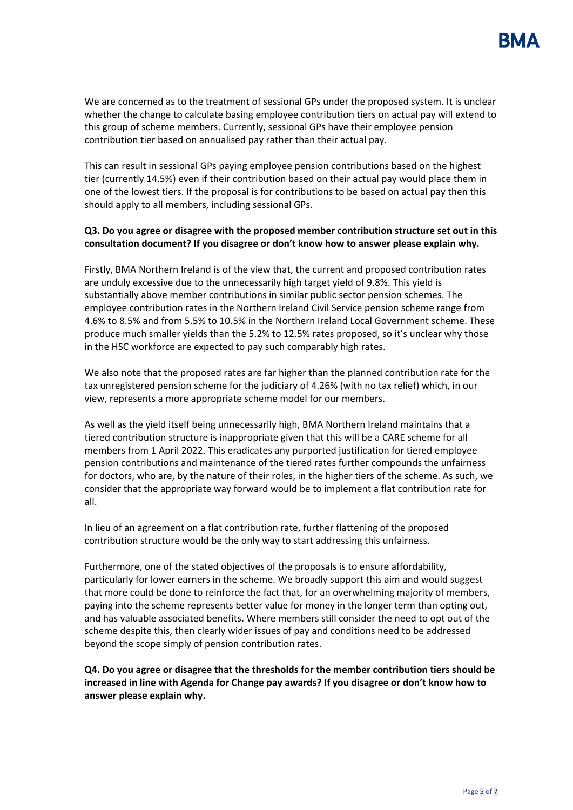

We are concerned as to the treatment of sessional GPs under the proposed system. It is unclear whether the change to calculate basing employee contribution tiers on actual pay will extend to this group of scheme members. Currently, sessional GPs have their employee pension contribution tier based on annualised pay rather than their actual pay.

This can result in sessional GPs paying employee pension contributions based on the highest tier (currently 14.5%) even if their contribution based on their actual pay would place them in one of the lowest tiers. If the proposal is for contributions to be based on actual pay then this should apply to all members, including sessional GPs.

### **Q3. Do you agree or disagree with the proposed member contribution structure set out in this consultation document? If you disagree or don't know how to answer please explain why.**

Firstly, BMA Northern Ireland is of the view that, the current and proposed contribution rates are unduly excessive due to the unnecessarily high target yield of 9.8%. This yield is substantially above member contributions in similar public sector pension schemes. The employee contribution rates in the Northern Ireland Civil Service pension scheme range from 4.6% to 8.5% and from 5.5% to 10.5% in the Northern Ireland Local Government scheme. These produce much smaller yields than the 5.2% to 12.5% rates proposed, so it's unclear why those in the HSC workforce are expected to pay such comparably high rates.

We also note that the proposed rates are far higher than the planned contribution rate for the tax unregistered pension scheme for the judiciary of 4.26% (with no tax relief) which, in our view, represents a more appropriate scheme model for our members.

As well as the yield itself being unnecessarily high, BMA Northern Ireland maintains that a tiered contribution structure is inappropriate given that this will be a CARE scheme for all members from 1 April 2022. This eradicates any purported justification for tiered employee pension contributions and maintenance of the tiered rates further compounds the unfairness for doctors, who are, by the nature of their roles, in the higher tiers of the scheme. As such, we consider that the appropriate way forward would be to implement a flat contribution rate for all.

In lieu of an agreement on a flat contribution rate, further flattening of the proposed contribution structure would be the only way to start addressing this unfairness.

Furthermore, one of the stated objectives of the proposals is to ensure affordability, particularly for lower earners in the scheme. We broadly support this aim and would suggest that more could be done to reinforce the fact that, for an overwhelming majority of members, paying into the scheme represents better value for money in the longer term than opting out, and has valuable associated benefits. Where members still consider the need to opt out of the scheme despite this, then clearly wider issues of pay and conditions need to be addressed beyond the scope simply of pension contribution rates.

**Q4. Do you agree or disagree that the thresholds for the member contribution tiers should be increased in line with Agenda for Change pay awards? If you disagree or don't know how to answer please explain why.**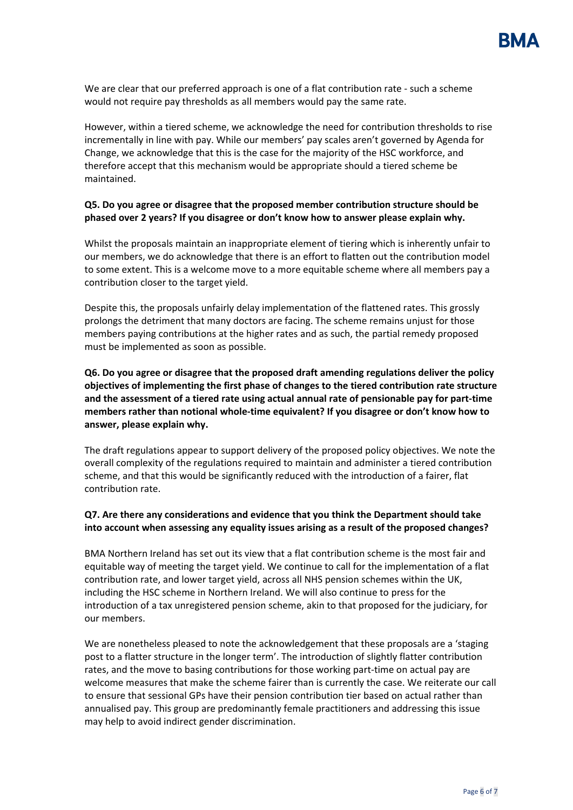We are clear that our preferred approach is one of a flat contribution rate - such a scheme would not require pay thresholds as all members would pay the same rate.

However, within a tiered scheme, we acknowledge the need for contribution thresholds to rise incrementally in line with pay. While our members' pay scales aren't governed by Agenda for Change, we acknowledge that this is the case for the majority of the HSC workforce, and therefore accept that this mechanism would be appropriate should a tiered scheme be maintained.

## **Q5. Do you agree or disagree that the proposed member contribution structure should be phased over 2 years? If you disagree or don't know how to answer please explain why.**

Whilst the proposals maintain an inappropriate element of tiering which is inherently unfair to our members, we do acknowledge that there is an effort to flatten out the contribution model to some extent. This is a welcome move to a more equitable scheme where all members pay a contribution closer to the target yield.

Despite this, the proposals unfairly delay implementation of the flattened rates. This grossly prolongs the detriment that many doctors are facing. The scheme remains unjust for those members paying contributions at the higher rates and as such, the partial remedy proposed must be implemented as soon as possible.

**Q6. Do you agree or disagree that the proposed draft amending regulations deliver the policy objectives of implementing the first phase of changes to the tiered contribution rate structure and the assessment of a tiered rate using actual annual rate of pensionable pay for part-time members rather than notional whole-time equivalent? If you disagree or don't know how to answer, please explain why.** 

The draft regulations appear to support delivery of the proposed policy objectives. We note the overall complexity of the regulations required to maintain and administer a tiered contribution scheme, and that this would be significantly reduced with the introduction of a fairer, flat contribution rate.

# **Q7. Are there any considerations and evidence that you think the Department should take into account when assessing any equality issues arising as a result of the proposed changes?**

BMA Northern Ireland has set out its view that a flat contribution scheme is the most fair and equitable way of meeting the target yield. We continue to call for the implementation of a flat contribution rate, and lower target yield, across all NHS pension schemes within the UK, including the HSC scheme in Northern Ireland. We will also continue to press for the introduction of a tax unregistered pension scheme, akin to that proposed for the judiciary, for our members.

We are nonetheless pleased to note the acknowledgement that these proposals are a 'staging post to a flatter structure in the longer term'. The introduction of slightly flatter contribution rates, and the move to basing contributions for those working part-time on actual pay are welcome measures that make the scheme fairer than is currently the case. We reiterate our call to ensure that sessional GPs have their pension contribution tier based on actual rather than annualised pay. This group are predominantly female practitioners and addressing this issue may help to avoid indirect gender discrimination.